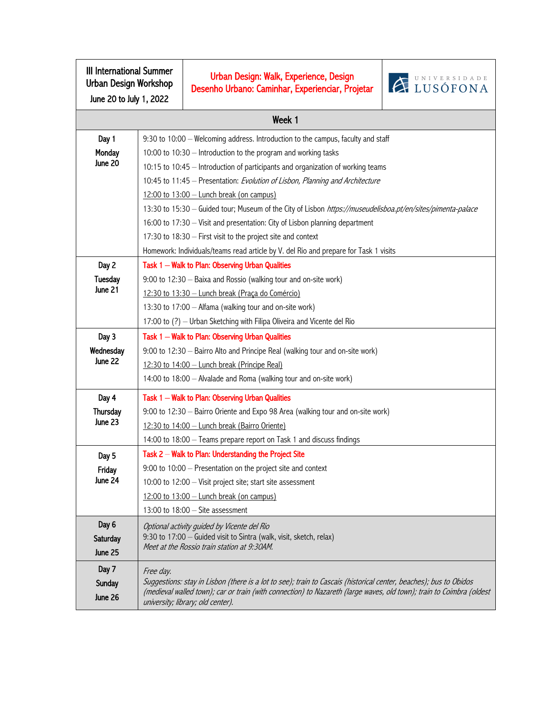| <b>III International Summer</b><br>Urban Design Workshop<br>June 20 to July 1, 2022 |                                                                                                                                                                   | Urban Design: Walk, Experience, Design<br>Desenho Urbano: Caminhar, Experienciar, Projetar                                                                | <b>EXPRESSIDADE</b> |  |
|-------------------------------------------------------------------------------------|-------------------------------------------------------------------------------------------------------------------------------------------------------------------|-----------------------------------------------------------------------------------------------------------------------------------------------------------|---------------------|--|
| Week 1                                                                              |                                                                                                                                                                   |                                                                                                                                                           |                     |  |
| Day 1                                                                               | 9:30 to 10:00 - Welcoming address. Introduction to the campus, faculty and staff                                                                                  |                                                                                                                                                           |                     |  |
| Monday                                                                              | 10:00 to 10:30 - Introduction to the program and working tasks                                                                                                    |                                                                                                                                                           |                     |  |
| June 20                                                                             | 10:15 to 10:45 - Introduction of participants and organization of working teams                                                                                   |                                                                                                                                                           |                     |  |
|                                                                                     | 10:45 to 11:45 - Presentation: Evolution of Lisbon, Planning and Architecture                                                                                     |                                                                                                                                                           |                     |  |
|                                                                                     | $12:00$ to $13:00$ – Lunch break (on campus)                                                                                                                      |                                                                                                                                                           |                     |  |
|                                                                                     | 13:30 to 15:30 - Guided tour; Museum of the City of Lisbon https://museudelisboa.pt/en/sites/pimenta-palace                                                       |                                                                                                                                                           |                     |  |
|                                                                                     | 16:00 to 17:30 - Visit and presentation: City of Lisbon planning department                                                                                       |                                                                                                                                                           |                     |  |
|                                                                                     | 17:30 to 18:30 - First visit to the project site and context                                                                                                      |                                                                                                                                                           |                     |  |
|                                                                                     | Homework: Individuals/teams read article by V. del Rio and prepare for Task 1 visits                                                                              |                                                                                                                                                           |                     |  |
| Day 2                                                                               | Task 1 - Walk to Plan: Observing Urban Qualities                                                                                                                  |                                                                                                                                                           |                     |  |
| Tuesday                                                                             | 9:00 to 12:30 - Baixa and Rossio (walking tour and on-site work)                                                                                                  |                                                                                                                                                           |                     |  |
| June 21                                                                             | 12:30 to 13:30 - Lunch break (Praça do Comércio)                                                                                                                  |                                                                                                                                                           |                     |  |
|                                                                                     |                                                                                                                                                                   | 13:30 to 17:00 - Alfama (walking tour and on-site work)                                                                                                   |                     |  |
|                                                                                     | 17:00 to (?) - Urban Sketching with Filipa Oliveira and Vicente del Rio                                                                                           |                                                                                                                                                           |                     |  |
| Day 3                                                                               | Task 1 - Walk to Plan: Observing Urban Qualities                                                                                                                  |                                                                                                                                                           |                     |  |
| Wednesday<br>June 22                                                                | 9:00 to 12:30 - Bairro Alto and Principe Real (walking tour and on-site work)                                                                                     |                                                                                                                                                           |                     |  |
|                                                                                     | 12:30 to 14:00 - Lunch break (Principe Real)                                                                                                                      |                                                                                                                                                           |                     |  |
|                                                                                     | 14:00 to 18:00 - Alvalade and Roma (walking tour and on-site work)                                                                                                |                                                                                                                                                           |                     |  |
| Day 4                                                                               | Task 1 - Walk to Plan: Observing Urban Qualities                                                                                                                  |                                                                                                                                                           |                     |  |
| Thursday                                                                            |                                                                                                                                                                   | 9:00 to 12:30 - Bairro Oriente and Expo 98 Area (walking tour and on-site work)                                                                           |                     |  |
| June 23                                                                             |                                                                                                                                                                   | 12:30 to 14:00 - Lunch break (Bairro Oriente)                                                                                                             |                     |  |
|                                                                                     |                                                                                                                                                                   | 14:00 to 18:00 - Teams prepare report on Task 1 and discuss findings                                                                                      |                     |  |
| Day 5                                                                               | Task 2 - Walk to Plan: Understanding the Project Site                                                                                                             |                                                                                                                                                           |                     |  |
| Friday                                                                              | 9:00 to 10:00 - Presentation on the project site and context                                                                                                      |                                                                                                                                                           |                     |  |
| June 24                                                                             |                                                                                                                                                                   | 10:00 to 12:00 - Visit project site; start site assessment                                                                                                |                     |  |
|                                                                                     |                                                                                                                                                                   | $12:00$ to $13:00$ - Lunch break (on campus)                                                                                                              |                     |  |
|                                                                                     |                                                                                                                                                                   | 13:00 to $18:00 -$ Site assessment                                                                                                                        |                     |  |
| Day 6                                                                               | Optional activity guided by Vicente del Rio<br>9:30 to 17:00 - Guided visit to Sintra (walk, visit, sketch, relax)<br>Meet at the Rossio train station at 9:30AM. |                                                                                                                                                           |                     |  |
| Saturday<br>June 25                                                                 |                                                                                                                                                                   |                                                                                                                                                           |                     |  |
|                                                                                     |                                                                                                                                                                   |                                                                                                                                                           |                     |  |
| Day 7                                                                               | Free day.<br>Suggestions: stay in Lisbon (there is a lot to see); train to Cascais (historical center, beaches); bus to Obidos                                    |                                                                                                                                                           |                     |  |
| Sunday<br>June 26                                                                   |                                                                                                                                                                   | (medieval walled town); car or train (with connection) to Nazareth (large waves, old town); train to Coimbra (oldest<br>university; library; old center). |                     |  |